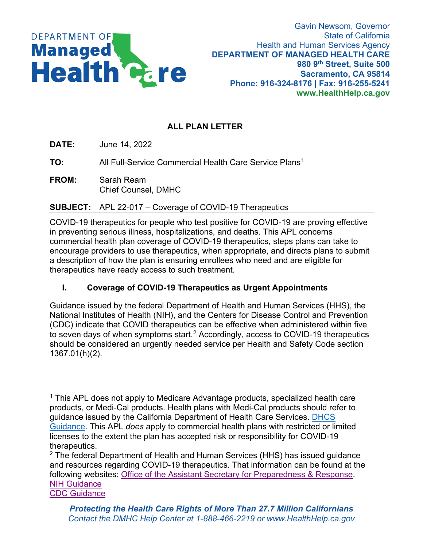

# **ALL PLAN LETTER**

**DATE:** June 14, 2022

**TO:** All Full-Service Commercial Health Care Service Plans<sup>[1](#page-0-0)</sup>

**FROM:** Sarah Ream Chief Counsel, DMHC

### **SUBJECT:** APL 22-017 – Coverage of COVID-19 Therapeutics

COVID-19 therapeutics for people who test positive for COVID-19 are proving effective in preventing serious illness, hospitalizations, and deaths. This APL concerns commercial health plan coverage of COVID-19 therapeutics, steps plans can take to encourage providers to use therapeutics, when appropriate, and directs plans to submit a description of how the plan is ensuring enrollees who need and are eligible for therapeutics have ready access to such treatment.

# **I. Coverage of COVID-19 Therapeutics as Urgent Appointments**

Guidance issued by the federal Department of Health and Human Services (HHS), the National Institutes of Health (NIH), and the Centers for Disease Control and Prevention (CDC) indicate that COVID therapeutics can be effective when administered within five to seven days of when symptoms start. $^2$  $^2$  Accordingly, access to COVID-19 therapeutics should be considered an urgently needed service per Health and Safety Code section 1367.01(h)(2).

<span id="page-0-0"></span><sup>&</sup>lt;sup>1</sup> This APL does not apply to Medicare Advantage products, specialized health care products, or Medi-Cal products. Health plans with Medi-Cal products should refer to guidance issued by the California Department of Health Care Services. [DHCS](https://gcc02.safelinks.protection.outlook.com/?url=https%3A%2F%2Fwww.dhcs.ca.gov%2FDocuments%2FCOVID-19%2FAPL-22-009.pdf&data=05%7C01%7CMunir.Chechi%40DMHC.CA.GOV%7C9169b0836f7a490ac89208da4d995c31%7Cb914b00c2991499ab3b08e4b1f080205%7C1%7C0%7C637907618313993896%7CUnknown%7CTWFpbGZsb3d8eyJWIjoiMC4wLjAwMDAiLCJQIjoiV2luMzIiLCJBTiI6Ik1haWwiLCJXVCI6Mn0%3D%7C3000%7C%7C%7C&sdata=vygEyDlTorboiiszl9j1UXZazi%2BmNkqt6K5r5lfHnBY%3D&reserved=0)  [Guidance.](https://gcc02.safelinks.protection.outlook.com/?url=https%3A%2F%2Fwww.dhcs.ca.gov%2FDocuments%2FCOVID-19%2FAPL-22-009.pdf&data=05%7C01%7CMunir.Chechi%40DMHC.CA.GOV%7C9169b0836f7a490ac89208da4d995c31%7Cb914b00c2991499ab3b08e4b1f080205%7C1%7C0%7C637907618313993896%7CUnknown%7CTWFpbGZsb3d8eyJWIjoiMC4wLjAwMDAiLCJQIjoiV2luMzIiLCJBTiI6Ik1haWwiLCJXVCI6Mn0%3D%7C3000%7C%7C%7C&sdata=vygEyDlTorboiiszl9j1UXZazi%2BmNkqt6K5r5lfHnBY%3D&reserved=0) This APL *does* apply to commercial health plans with restricted or limited licenses to the extent the plan has accepted risk or responsibility for COVID-19 therapeutics.

<span id="page-0-1"></span> $2$  The federal Department of Health and Human Services (HHS) has issued guidance and resources regarding COVID-19 therapeutics. That information can be found at the following websites: [Office of the Assistant Secretary for Preparedness & Response.](https://aspr.hhs.gov/COVID-19/Therapeutics/Pages/default.aspx) [NIH Guidance](https://www.covid19treatmentguidelines.nih.gov/management/clinical-management/nonhospitalized-adults--therapeutic-management/?utm_source=site&utm_medium=home&utm_campaign=highlights) [CDC Guidance](https://www.cdc.gov/coronavirus/2019-ncov/your-health/treatments-for-severe-illness.html)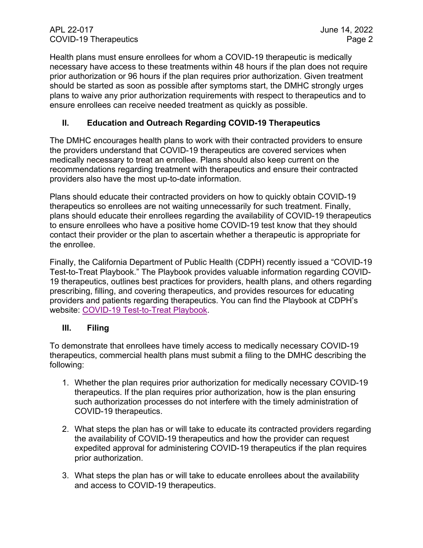Health plans must ensure enrollees for whom a COVID-19 therapeutic is medically necessary have access to these treatments within 48 hours if the plan does not require prior authorization or 96 hours if the plan requires prior authorization. Given treatment should be started as soon as possible after symptoms start, the DMHC strongly urges plans to waive any prior authorization requirements with respect to therapeutics and to ensure enrollees can receive needed treatment as quickly as possible.

#### **II. Education and Outreach Regarding COVID-19 Therapeutics**

The DMHC encourages health plans to work with their contracted providers to ensure the providers understand that COVID-19 therapeutics are covered services when medically necessary to treat an enrollee. Plans should also keep current on the recommendations regarding treatment with therapeutics and ensure their contracted providers also have the most up-to-date information.

Plans should educate their contracted providers on how to quickly obtain COVID-19 therapeutics so enrollees are not waiting unnecessarily for such treatment. Finally, plans should educate their enrollees regarding the availability of COVID-19 therapeutics to ensure enrollees who have a positive home COVID-19 test know that they should contact their provider or the plan to ascertain whether a therapeutic is appropriate for the enrollee.

Finally, the California Department of Public Health (CDPH) recently issued a "COVID-19 Test-to-Treat Playbook." The Playbook provides valuable information regarding COVID-19 therapeutics, outlines best practices for providers, health plans, and others regarding prescribing, filling, and covering therapeutics, and provides resources for educating providers and patients regarding therapeutics. You can find the Playbook at CDPH's website: [COVID-19 Test-to-Treat Playbook.](https://www.cdph.ca.gov/Programs/CID/DCDC/CDPH%20Document%20Library/COVID-19/Test-to-Treat-Playbook.pdf)

#### **III. Filing**

To demonstrate that enrollees have timely access to medically necessary COVID-19 therapeutics, commercial health plans must submit a filing to the DMHC describing the following:

- 1. Whether the plan requires prior authorization for medically necessary COVID-19 therapeutics. If the plan requires prior authorization, how is the plan ensuring such authorization processes do not interfere with the timely administration of COVID-19 therapeutics.
- 2. What steps the plan has or will take to educate its contracted providers regarding the availability of COVID-19 therapeutics and how the provider can request expedited approval for administering COVID-19 therapeutics if the plan requires prior authorization.
- 3. What steps the plan has or will take to educate enrollees about the availability and access to COVID-19 therapeutics.